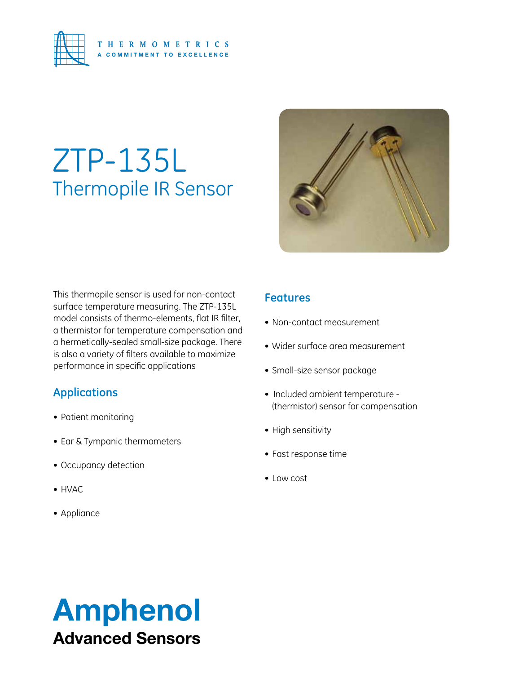

# ZTP-135L Thermopile IR Sensor



This thermopile sensor is used for non-contact surface temperature measuring. The ZTP-135L model consists of thermo-elements, flat IR filter, a thermistor for temperature compensation and a hermetically-sealed small-size package. There is also a variety of filters available to maximize performance in specific applications

#### **Applications**

- • Patient monitoring
- Ear & Tympanic thermometers
- • Occupancy detection
- • HVAC
- • Appliance

#### **Features**

- Non-contact measurement
- • Wider surface area measurement
- • Small-size sensor package
- Included ambient temperature (thermistor) sensor for compensation
- High sensitivity
- • Fast response time
- • Low cost

# Amphenol Advanced Sensors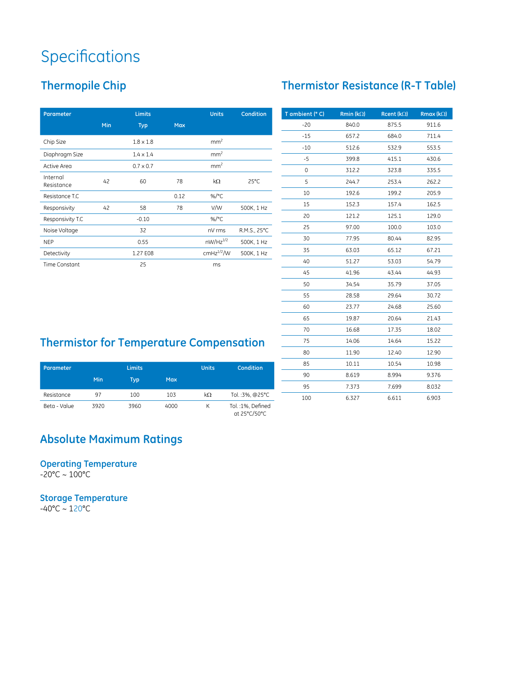## **Specifications**

### **Thermopile Chip**

| <b>Parameter</b>       |     | <b>Limits</b>    |            |                 | <b>Condition</b> |
|------------------------|-----|------------------|------------|-----------------|------------------|
|                        | Min | <b>Typ</b>       | <b>Max</b> |                 |                  |
| Chip Size              |     | $1.8 \times 1.8$ |            | mm <sup>2</sup> |                  |
| Diaphragm Size         |     | $1.4 \times 1.4$ |            | mm <sup>2</sup> |                  |
| <b>Active Area</b>     |     | $0.7 \times 0.7$ |            | mm <sup>2</sup> |                  |
| Internal<br>Resistance | 42  | 60               | 78         | $k\Omega$       | $25^{\circ}$ C   |
| Resistance T.C         |     |                  | 0.12       | %/ $^{\circ}$ C |                  |
| Responsivity           | 42  | 58               | 78         | V/W             | 500K, 1 Hz       |
| Responsivity T.C       |     | $-0.10$          |            | %/ $^{\circ}$ C |                  |
| Noise Voltage          |     | 32               |            | nV rms          | R.M.S., 25°C     |
| <b>NEP</b>             |     | 0.55             |            | $nW/Hz^{1/2}$   | 500K, 1 Hz       |
| Detectivity            |     | 1.27 E08         |            | $cmHz^{1/2}/W$  | 500K, 1 Hz       |
| <b>Time Constant</b>   |     | 25               |            | ms              |                  |

| T ambient (° C) | Rmin ( $k\Omega$ ) | Rcent ( $k\Omega$ ) | <b>Rmax (k</b> $\Omega$ ) |
|-----------------|--------------------|---------------------|---------------------------|
| $-20$           | 840.0              | 875.5               | 911.6                     |
| $-15$           | 657.2              | 684.0               | 711.4                     |
| $-10$           | 512.6              | 532.9               | 553.5                     |
| -5              | 399.8              | 415.1               | 430.6                     |
| 0               | 312.2              | 323.8               | 335.5                     |
| 5               | 244.7              | 253.4               | 262.2                     |
| 10              | 192.6              | 199.2               | 205.9                     |
| 15              | 152.3              | 157.4               | 162.5                     |
| 20              | 121.2              | 125.1               | 129.0                     |
| 25              | 97.00              | 100.0               | 103.0                     |
| 30              | 77.95              | 80.44               | 82.95                     |
| 35              | 63.03              | 65.12               | 67.21                     |
| 40              | 51.27              | 53.03               | 54.79                     |
| 45              | 41.96              | 43.44               | 44.93                     |
| 50              | 34.54              | 35.79               | 37.05                     |
| 55              | 28.58              | 29.64               | 30.72                     |
| 60              | 23.77              | 24.68               | 25.60                     |
| 65              | 19.87              | 20.64               | 21.43                     |
| 70              | 16.68              | 17.35               | 18.02                     |
| 75              | 14.06              | 14.64               | 15.22                     |
| 80              | 11.90              | 12.40               | 12.90                     |
| 85              | 10.11              | 10.54               | 10.98                     |
| 90              | 8.619              | 8.994               | 9.376                     |
| 95              | 7.373              | 7.699               | 8.032                     |
| 100             | 6.327              | 6.611               | 6.903                     |

### **Thermistor for Temperature Compensation**

| Parameter    |      | <b>Limits</b> |            | <b>Units</b> | Condition                         |
|--------------|------|---------------|------------|--------------|-----------------------------------|
|              | Min  | Typ           | <b>Max</b> |              |                                   |
| Resistance   | 97   | 100           | 103        | kΩ           | Tol.:3%, @25°C                    |
| Beta - Value | 3920 | 3960          | 4000       | К            | Tol.: 1%, Defined<br>at 25°C/50°C |

#### **Absolute Maximum Ratings**

**Operating Temperature** -20°C ~ 100°C

**Storage Temperature** -40°C ~ 120°C

#### **Thermistor Resistance (R-T Table)**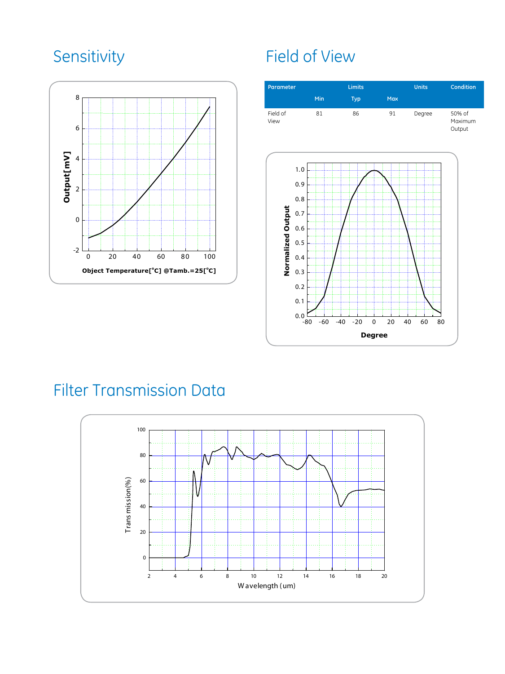

## Sensitivity Field of View



## Filter Transmission Data